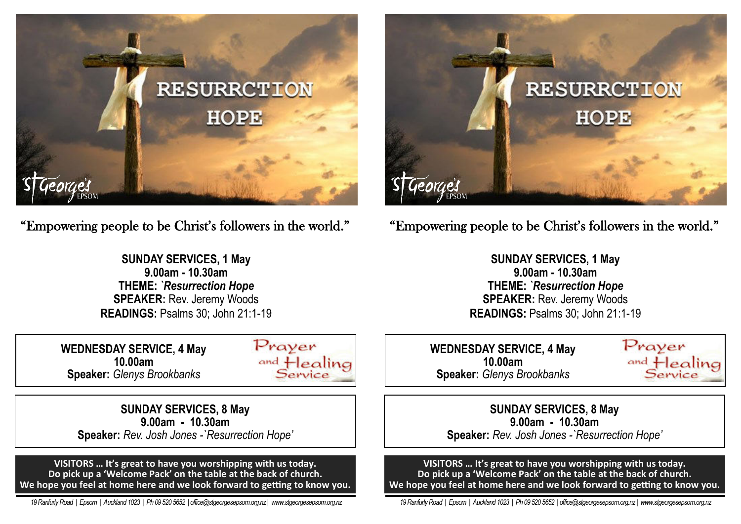

"Empowering people to be Christ's followers in the world."

**SUNDAY SERVICES, 1 May 9.00am - 10.30am THEME:** *`Resurrection Hope*  **SPEAKER:** Rev. Jeremy Woods **READINGS:** Psalms 30; John 21:1-19

**WEDNESDAY SERVICE, 4 May 10.00am Speaker:** *Glenys Brookbanks*



**SUNDAY SERVICES, 8 May 9.00am - 10.30am Speaker:** *Rev. Josh Jones -`Resurrection Hope'*

**VISITORS … It's great to have you worshipping with us today. Do pick up a 'Welcome Pack' on the table at the back of church. We hope you feel at home here and we look forward to getting to know you.**

 *19 Ranfurly Road | Epsom | Auckland 1023 | Ph 09 520 5652 | office@stgeorgesepsom.org.nz | www.stgeorgesepsom.org.nz* 



"Empowering people to be Christ's followers in the world."

**SUNDAY SERVICES, 1 May 9.00am - 10.30am THEME:** *`Resurrection Hope*  **SPEAKER: Rev. Jeremy Woods READINGS:** Psalms 30; John 21:1-19

**WEDNESDAY SERVICE, 4 May 10.00am Speaker:** *Glenys Brookbanks*



**SUNDAY SERVICES, 8 May 9.00am - 10.30am Speaker:** *Rev. Josh Jones -`Resurrection Hope'*

**VISITORS … It's great to have you worshipping with us today. Do pick up a 'Welcome Pack' on the table at the back of church. We hope you feel at home here and we look forward to getting to know you.**

 *19 Ranfurly Road | Epsom | Auckland 1023 | Ph 09 520 5652 | office@stgeorgesepsom.org.nz | www.stgeorgesepsom.org.nz*